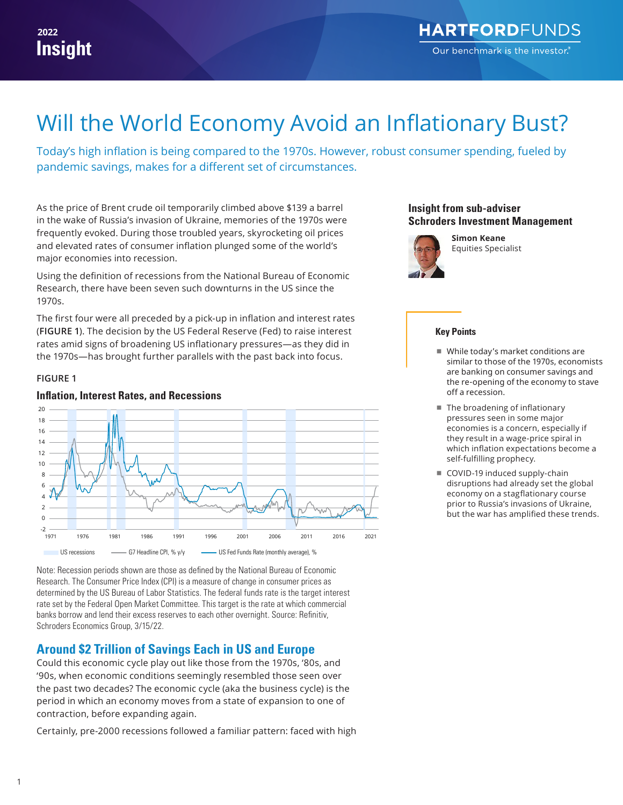# Will the World Economy Avoid an Inflationary Bust?

Today's high inflation is being compared to the 1970s. However, robust consumer spending, fueled by pandemic savings, makes for a different set of circumstances.

As the price of Brent crude oil temporarily climbed above \$139 a barrel in the wake of Russia's invasion of Ukraine, memories of the 1970s were frequently evoked. During those troubled years, skyrocketing oil prices and elevated rates of consumer inflation plunged some of the world's major economies into recession.

Using the definition of recessions from the National Bureau of Economic Research, there have been seven such downturns in the US since the 1970s.

The first four were all preceded by a pick-up in inflation and interest rates (**FIGURE 1**). The decision by the US Federal Reserve (Fed) to raise interest rates amid signs of broadening US inflationary pressures—as they did in the 1970s—has brought further parallels with the past back into focus.

#### **FIGURE 1**





Note: Recession periods shown are those as defined by the National Bureau of Economic Research. The Consumer Price Index (CPI) is a measure of change in consumer prices as determined by the US Bureau of Labor Statistics. The federal funds rate is the target interest rate set by the Federal Open Market Committee. This target is the rate at which commercial banks borrow and lend their excess reserves to each other overnight. Source: Refinitiv, Schroders Economics Group, 3/15/22.

# **Around \$2 Trillion of Savings Each in US and Europe**

Could this economic cycle play out like those from the 1970s, '80s, and '90s, when economic conditions seemingly resembled those seen over the past two decades? The economic cycle (aka the business cycle) is the period in which an economy moves from a state of expansion to one of contraction, before expanding again.

Certainly, pre-2000 recessions followed a familiar pattern: faced with high

### **Insight from sub-adviser Schroders Investment Management**



**Simon Keane** Equities Specialist

#### **Key Points**

- While today's market conditions are similar to those of the 1970s, economists are banking on consumer savings and the re-opening of the economy to stave off a recession.
- The broadening of inflationary pressures seen in some major economies is a concern, especially if they result in a wage-price spiral in which inflation expectations become a self-fulfilling prophecy.
- COVID-19 induced supply-chain disruptions had already set the global economy on a stagflationary course prior to Russia's invasions of Ukraine, but the war has amplified these trends.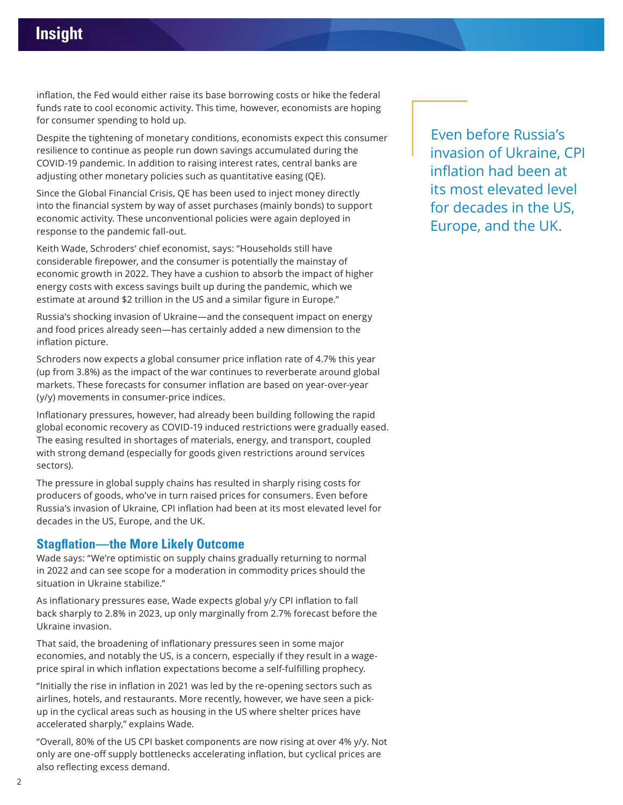inflation, the Fed would either raise its base borrowing costs or hike the federal funds rate to cool economic activity. This time, however, economists are hoping for consumer spending to hold up.

Despite the tightening of monetary conditions, economists expect this consumer resilience to continue as people run down savings accumulated during the COVID-19 pandemic. In addition to raising interest rates, central banks are adjusting other monetary policies such as quantitative easing (QE).

Since the Global Financial Crisis, QE has been used to inject money directly into the financial system by way of asset purchases (mainly bonds) to support economic activity. These unconventional policies were again deployed in response to the pandemic fall-out.

Keith Wade, Schroders' chief economist, says: "Households still have considerable firepower, and the consumer is potentially the mainstay of economic growth in 2022. They have a cushion to absorb the impact of higher energy costs with excess savings built up during the pandemic, which we estimate at around \$2 trillion in the US and a similar figure in Europe."

Russia's shocking invasion of Ukraine—and the consequent impact on energy and food prices already seen—has certainly added a new dimension to the inflation picture.

Schroders now expects a global consumer price inflation rate of 4.7% this year (up from 3.8%) as the impact of the war continues to reverberate around global markets. These forecasts for consumer inflation are based on year-over-year (y/y) movements in consumer-price indices.

Inflationary pressures, however, had already been building following the rapid global economic recovery as COVID-19 induced restrictions were gradually eased. The easing resulted in shortages of materials, energy, and transport, coupled with strong demand (especially for goods given restrictions around services sectors).

The pressure in global supply chains has resulted in sharply rising costs for producers of goods, who've in turn raised prices for consumers. Even before Russia's invasion of Ukraine, CPI inflation had been at its most elevated level for decades in the US, Europe, and the UK.

# **Stagflation—the More Likely Outcome**

Wade says: "We're optimistic on supply chains gradually returning to normal in 2022 and can see scope for a moderation in commodity prices should the situation in Ukraine stabilize."

As inflationary pressures ease, Wade expects global y/y CPI inflation to fall back sharply to 2.8% in 2023, up only marginally from 2.7% forecast before the Ukraine invasion.

That said, the broadening of inflationary pressures seen in some major economies, and notably the US, is a concern, especially if they result in a wageprice spiral in which inflation expectations become a self-fulfilling prophecy.

"Initially the rise in inflation in 2021 was led by the re-opening sectors such as airlines, hotels, and restaurants. More recently, however, we have seen a pickup in the cyclical areas such as housing in the US where shelter prices have accelerated sharply," explains Wade.

"Overall, 80% of the US CPI basket components are now rising at over 4% y/y. Not only are one-off supply bottlenecks accelerating inflation, but cyclical prices are also reflecting excess demand.

Even before Russia's invasion of Ukraine, CPI inflation had been at its most elevated level for decades in the US, Europe, and the UK.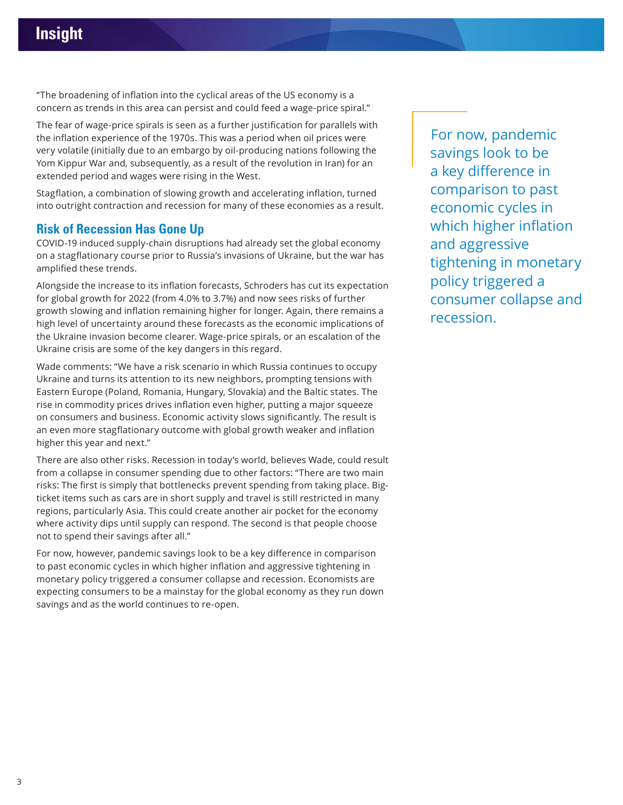"The broadening of inflation into the cyclical areas of the US economy is a concern as trends in this area can persist and could feed a wage-price spiral."

The fear of wage-price spirals is seen as a further justification for parallels with the inflation experience of the 1970s. This was a period when oil prices were very volatile (initially due to an embargo by oil-producing nations following the Yom Kippur War and, subsequently, as a result of the revolution in Iran) for an extended period and wages were rising in the West.

Stagflation, a combination of slowing growth and accelerating inflation, turned into outright contraction and recession for many of these economies as a result.

## **Risk of Recession Has Gone Up**

COVID-19 induced supply-chain disruptions had already set the global economy on a stagflationary course prior to Russia's invasions of Ukraine, but the war has amplified these trends.

Alongside the increase to its inflation forecasts, Schroders has cut its expectation for global growth for 2022 (from 4.0% to 3.7%) and now sees risks of further growth slowing and inflation remaining higher for longer. Again, there remains a high level of uncertainty around these forecasts as the economic implications of the Ukraine invasion become clearer. Wage-price spirals, or an escalation of the Ukraine crisis are some of the key dangers in this regard.

Wade comments: "We have a risk scenario in which Russia continues to occupy Ukraine and turns its attention to its new neighbors, prompting tensions with Eastern Europe (Poland, Romania, Hungary, Slovakia) and the Baltic states. The rise in commodity prices drives inflation even higher, putting a major squeeze on consumers and business. Economic activity slows significantly. The result is an even more stagflationary outcome with global growth weaker and inflation higher this year and next."

There are also other risks. Recession in today's world, believes Wade, could result from a collapse in consumer spending due to other factors: "There are two main risks: The first is simply that bottlenecks prevent spending from taking place. Bigticket items such as cars are in short supply and travel is still restricted in many regions, particularly Asia. This could create another air pocket for the economy where activity dips until supply can respond. The second is that people choose not to spend their savings after all."

For now, however, pandemic savings look to be a key difference in comparison to past economic cycles in which higher inflation and aggressive tightening in monetary policy triggered a consumer collapse and recession. Economists are expecting consumers to be a mainstay for the global economy as they run down savings and as the world continues to re-open.

For now, pandemic savings look to be a key difference in comparison to past economic cycles in which higher inflation and aggressive tightening in monetary policy triggered a consumer collapse and recession.